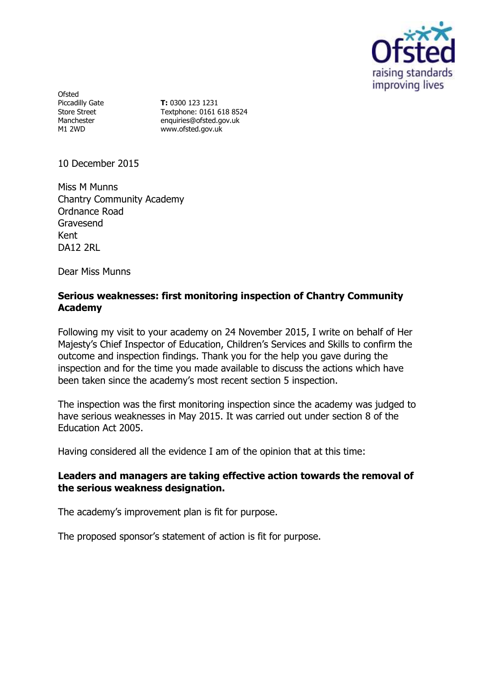

Ofsted Piccadilly Gate Store Street Manchester M1 2WD

**T:** 0300 123 1231 Textphone: 0161 618 8524 enquiries@ofsted.gov.uk www.ofsted.gov.uk

10 December 2015

Miss M Munns Chantry Community Academy Ordnance Road Gravesend Kent DA12 2RL

Dear Miss Munns

# **Serious weaknesses: first monitoring inspection of Chantry Community Academy**

Following my visit to your academy on 24 November 2015, I write on behalf of Her Majesty's Chief Inspector of Education, Children's Services and Skills to confirm the outcome and inspection findings. Thank you for the help you gave during the inspection and for the time you made available to discuss the actions which have been taken since the academy's most recent section 5 inspection.

The inspection was the first monitoring inspection since the academy was judged to have serious weaknesses in May 2015. It was carried out under section 8 of the Education Act 2005.

Having considered all the evidence I am of the opinion that at this time:

# **Leaders and managers are taking effective action towards the removal of the serious weakness designation.**

The academy's improvement plan is fit for purpose.

The proposed sponsor's statement of action is fit for purpose.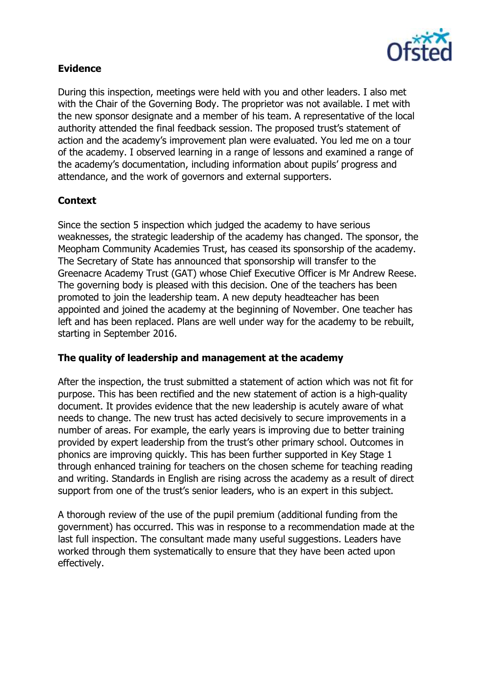

# **Evidence**

During this inspection, meetings were held with you and other leaders. I also met with the Chair of the Governing Body. The proprietor was not available. I met with the new sponsor designate and a member of his team. A representative of the local authority attended the final feedback session. The proposed trust's statement of action and the academy's improvement plan were evaluated. You led me on a tour of the academy. I observed learning in a range of lessons and examined a range of the academy's documentation, including information about pupils' progress and attendance, and the work of governors and external supporters.

# **Context**

Since the section 5 inspection which judged the academy to have serious weaknesses, the strategic leadership of the academy has changed. The sponsor, the Meopham Community Academies Trust, has ceased its sponsorship of the academy. The Secretary of State has announced that sponsorship will transfer to the Greenacre Academy Trust (GAT) whose Chief Executive Officer is Mr Andrew Reese. The governing body is pleased with this decision. One of the teachers has been promoted to join the leadership team. A new deputy headteacher has been appointed and joined the academy at the beginning of November. One teacher has left and has been replaced. Plans are well under way for the academy to be rebuilt, starting in September 2016.

# **The quality of leadership and management at the academy**

After the inspection, the trust submitted a statement of action which was not fit for purpose. This has been rectified and the new statement of action is a high-quality document. It provides evidence that the new leadership is acutely aware of what needs to change. The new trust has acted decisively to secure improvements in a number of areas. For example, the early years is improving due to better training provided by expert leadership from the trust's other primary school. Outcomes in phonics are improving quickly. This has been further supported in Key Stage 1 through enhanced training for teachers on the chosen scheme for teaching reading and writing. Standards in English are rising across the academy as a result of direct support from one of the trust's senior leaders, who is an expert in this subject.

A thorough review of the use of the pupil premium (additional funding from the government) has occurred. This was in response to a recommendation made at the last full inspection. The consultant made many useful suggestions. Leaders have worked through them systematically to ensure that they have been acted upon effectively.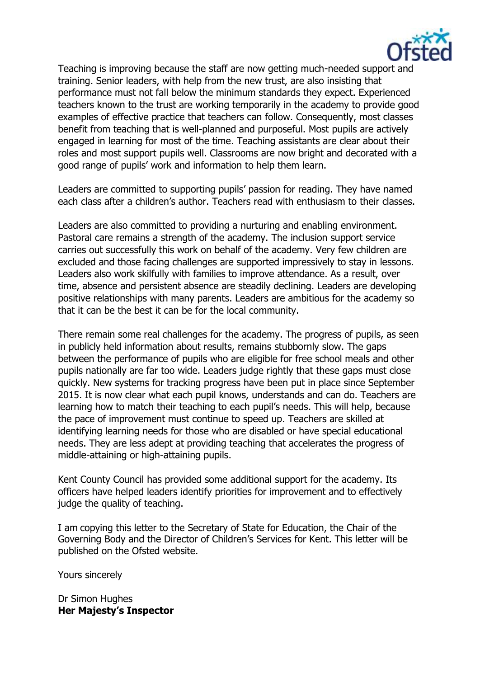

Teaching is improving because the staff are now getting much-needed support and training. Senior leaders, with help from the new trust, are also insisting that performance must not fall below the minimum standards they expect. Experienced teachers known to the trust are working temporarily in the academy to provide good examples of effective practice that teachers can follow. Consequently, most classes benefit from teaching that is well-planned and purposeful. Most pupils are actively engaged in learning for most of the time. Teaching assistants are clear about their roles and most support pupils well. Classrooms are now bright and decorated with a good range of pupils' work and information to help them learn.

Leaders are committed to supporting pupils' passion for reading. They have named each class after a children's author. Teachers read with enthusiasm to their classes.

Leaders are also committed to providing a nurturing and enabling environment. Pastoral care remains a strength of the academy. The inclusion support service carries out successfully this work on behalf of the academy. Very few children are excluded and those facing challenges are supported impressively to stay in lessons. Leaders also work skilfully with families to improve attendance. As a result, over time, absence and persistent absence are steadily declining. Leaders are developing positive relationships with many parents. Leaders are ambitious for the academy so that it can be the best it can be for the local community.

There remain some real challenges for the academy. The progress of pupils, as seen in publicly held information about results, remains stubbornly slow. The gaps between the performance of pupils who are eligible for free school meals and other pupils nationally are far too wide. Leaders judge rightly that these gaps must close quickly. New systems for tracking progress have been put in place since September 2015. It is now clear what each pupil knows, understands and can do. Teachers are learning how to match their teaching to each pupil's needs. This will help, because the pace of improvement must continue to speed up. Teachers are skilled at identifying learning needs for those who are disabled or have special educational needs. They are less adept at providing teaching that accelerates the progress of middle-attaining or high-attaining pupils.

Kent County Council has provided some additional support for the academy. Its officers have helped leaders identify priorities for improvement and to effectively judge the quality of teaching.

I am copying this letter to the Secretary of State for Education, the Chair of the Governing Body and the Director of Children's Services for Kent. This letter will be published on the Ofsted website.

Yours sincerely

Dr Simon Hughes **Her Majesty's Inspector**